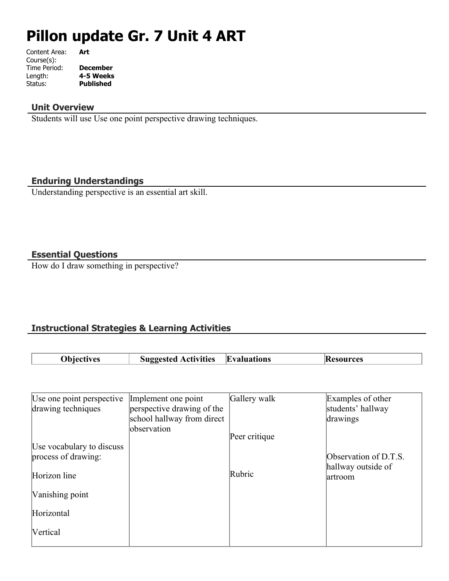# **Pillon update Gr. 7 Unit 4 ART**

| Content Area: | Art              |
|---------------|------------------|
| Course(s):    |                  |
| Time Period:  | <b>December</b>  |
| Length:       | 4-5 Weeks        |
| Status:       | <b>Published</b> |
|               |                  |

## **Unit Overview**

Students will use Use one point perspective drawing techniques.

# **Enduring Understandings**

Understanding perspective is an essential art skill.

## **Essential Questions**

How do I draw something in perspective?

# **Instructional Strategies & Learning Activities**

| 'Obiectives | <b>Activities</b><br>Suggested | Evaluations | esources<br>IK |
|-------------|--------------------------------|-------------|----------------|
|             |                                |             |                |

| Use one point perspective<br>drawing techniques  | Implement one point<br>perspective drawing of the | Gallery walk  | Examples of other<br>students' hallway |
|--------------------------------------------------|---------------------------------------------------|---------------|----------------------------------------|
|                                                  | school hallway from direct                        |               | drawings                               |
|                                                  | observation                                       | Peer critique |                                        |
| Use vocabulary to discuss<br>process of drawing: |                                                   |               | Observation of D.T.S.                  |
| Horizon line                                     |                                                   | Rubric        | hallway outside of<br>artroom          |
| Vanishing point                                  |                                                   |               |                                        |
| Horizontal                                       |                                                   |               |                                        |
| Vertical                                         |                                                   |               |                                        |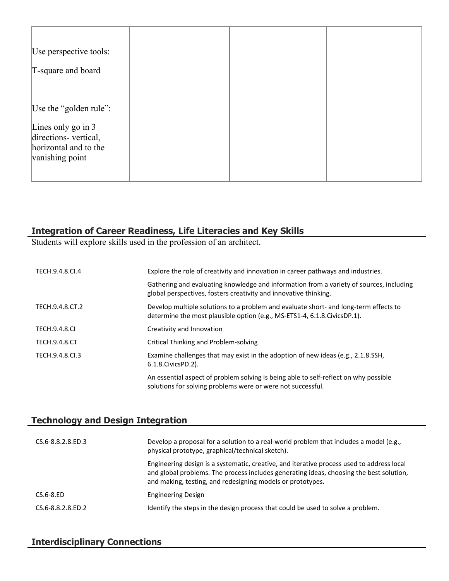| Use perspective tools:<br>T-square and board                                                                     |  |  |
|------------------------------------------------------------------------------------------------------------------|--|--|
| Use the "golden rule":<br>Lines only go in 3<br>directions-vertical,<br>horizontal and to the<br>vanishing point |  |  |

# **Integration of Career Readiness, Life Literacies and Key Skills**

Students will explore skills used in the profession of an architect.

| TECH.9.4.8.CI.4      | Explore the role of creativity and innovation in career pathways and industries.                                                                                   |
|----------------------|--------------------------------------------------------------------------------------------------------------------------------------------------------------------|
|                      | Gathering and evaluating knowledge and information from a variety of sources, including<br>global perspectives, fosters creativity and innovative thinking.        |
| TECH.9.4.8.CT.2      | Develop multiple solutions to a problem and evaluate short- and long-term effects to<br>determine the most plausible option (e.g., MS-ETS1-4, 6.1.8. Civics DP.1). |
| <b>TECH.9.4.8.CI</b> | Creativity and Innovation                                                                                                                                          |
| <b>TECH.9.4.8.CT</b> | Critical Thinking and Problem-solving                                                                                                                              |
| TECH.9.4.8.CL3       | Examine challenges that may exist in the adoption of new ideas (e.g., 2.1.8.SSH,<br>6.1.8. Civics PD. 2).                                                          |
|                      | An essential aspect of problem solving is being able to self-reflect on why possible<br>solutions for solving problems were or were not successful.                |

# **Technology and Design Integration**

| CS.6-8.8.2.8.ED.3 | Develop a proposal for a solution to a real-world problem that includes a model (e.g.,<br>physical prototype, graphical/technical sketch).                                                                                                         |
|-------------------|----------------------------------------------------------------------------------------------------------------------------------------------------------------------------------------------------------------------------------------------------|
|                   | Engineering design is a systematic, creative, and iterative process used to address local<br>and global problems. The process includes generating ideas, choosing the best solution,<br>and making, testing, and redesigning models or prototypes. |
| $CS.6-8.ED$       | <b>Engineering Design</b>                                                                                                                                                                                                                          |
| CS.6-8.8.2.8.ED.2 | Identify the steps in the design process that could be used to solve a problem.                                                                                                                                                                    |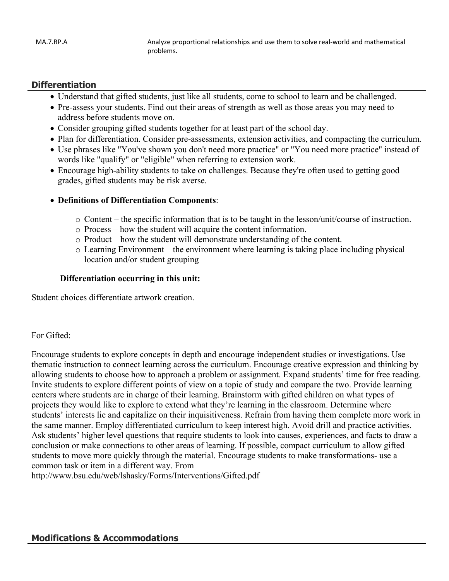#### **Differentiation**

- Understand that gifted students, just like all students, come to school to learn and be challenged.
- Pre-assess your students. Find out their areas of strength as well as those areas you may need to address before students move on.
- Consider grouping gifted students together for at least part of the school day.
- Plan for differentiation. Consider pre-assessments, extension activities, and compacting the curriculum.
- Use phrases like "You've shown you don't need more practice" or "You need more practice" instead of words like "qualify" or "eligible" when referring to extension work.
- Encourage high-ability students to take on challenges. Because they're often used to getting good grades, gifted students may be risk averse.

#### **Definitions of Differentiation Components**:

- o Content the specific information that is to be taught in the lesson/unit/course of instruction.
- o Process how the student will acquire the content information.
- o Product how the student will demonstrate understanding of the content.
- $\circ$  Learning Environment the environment where learning is taking place including physical location and/or student grouping

#### **Differentiation occurring in this unit:**

Student choices differentiate artwork creation.

#### For Gifted:

Encourage students to explore concepts in depth and encourage independent studies or investigations. Use thematic instruction to connect learning across the curriculum. Encourage creative expression and thinking by allowing students to choose how to approach a problem or assignment. Expand students' time for free reading. Invite students to explore different points of view on a topic of study and compare the two. Provide learning centers where students are in charge of their learning. Brainstorm with gifted children on what types of projects they would like to explore to extend what they're learning in the classroom. Determine where students' interests lie and capitalize on their inquisitiveness. Refrain from having them complete more work in the same manner. Employ differentiated curriculum to keep interest high. Avoid drill and practice activities. Ask students' higher level questions that require students to look into causes, experiences, and facts to draw a conclusion or make connections to other areas of learning. If possible, compact curriculum to allow gifted students to move more quickly through the material. Encourage students to make transformations- use a common task or item in a different way. From

http://www.bsu.edu/web/lshasky/Forms/Interventions/Gifted.pdf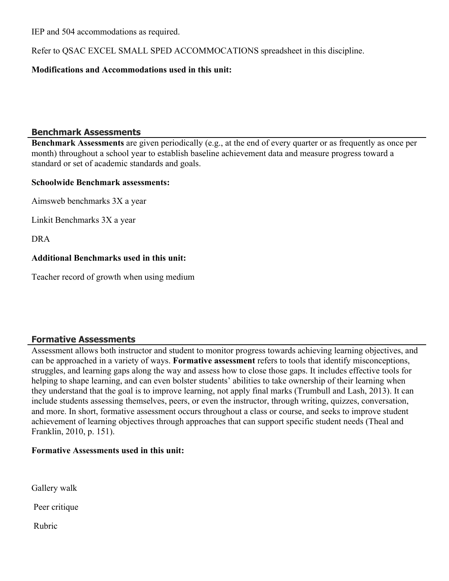IEP and 504 accommodations as required.

Refer to QSAC EXCEL SMALL SPED ACCOMMOCATIONS spreadsheet in this discipline.

### **Modifications and Accommodations used in this unit:**

## **Benchmark Assessments**

**Benchmark Assessments** are given periodically (e.g., at the end of every quarter or as frequently as once per month) throughout a school year to establish baseline achievement data and measure progress toward a standard or set of academic standards and goals.

#### **Schoolwide Benchmark assessments:**

Aimsweb benchmarks 3X a year

Linkit Benchmarks 3X a year

DRA

## **Additional Benchmarks used in this unit:**

Teacher record of growth when using medium

# **Formative Assessments**

Assessment allows both instructor and student to monitor progress towards achieving learning objectives, and can be approached in a variety of ways. **Formative assessment** refers to tools that identify misconceptions, struggles, and learning gaps along the way and assess how to close those gaps. It includes effective tools for helping to shape learning, and can even bolster students' abilities to take ownership of their learning when they understand that the goal is to improve learning, not apply final marks (Trumbull and Lash, 2013). It can include students assessing themselves, peers, or even the instructor, through writing, quizzes, conversation, and more. In short, formative assessment occurs throughout a class or course, and seeks to improve student achievement of learning objectives through approaches that can support specific student needs (Theal and Franklin, 2010, p. 151).

## **Formative Assessments used in this unit:**

Gallery walk

Peer critique

Rubric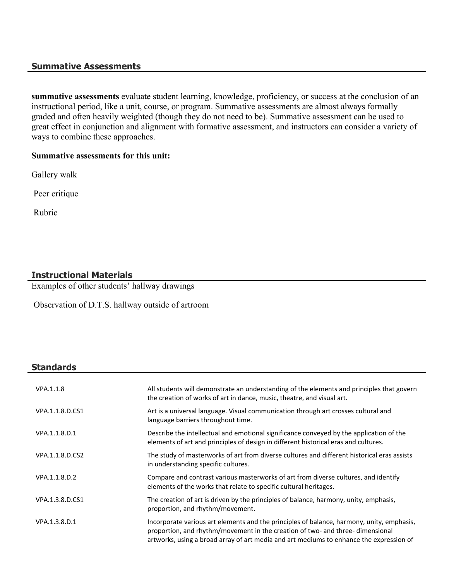#### **Summative Assessments**

**summative assessments** evaluate student learning, knowledge, proficiency, or success at the conclusion of an instructional period, like a unit, course, or program. Summative assessments are almost always formally graded and often heavily weighted (though they do not need to be). Summative assessment can be used to great effect in conjunction and alignment with formative assessment, and instructors can consider a variety of ways to combine these approaches.

#### **Summative assessments for this unit:**

Gallery walk

Peer critique

Rubric

# **Instructional Materials**

Examples of other students' hallway drawings

Observation of D.T.S. hallway outside of artroom

#### **Standards**

| VPA.1.1.8       | All students will demonstrate an understanding of the elements and principles that govern<br>the creation of works of art in dance, music, theatre, and visual art.                                                                                                   |
|-----------------|-----------------------------------------------------------------------------------------------------------------------------------------------------------------------------------------------------------------------------------------------------------------------|
| VPA.1.1.8.D.CS1 | Art is a universal language. Visual communication through art crosses cultural and<br>language barriers throughout time.                                                                                                                                              |
| VPA.1.1.8.D.1   | Describe the intellectual and emotional significance conveyed by the application of the<br>elements of art and principles of design in different historical eras and cultures.                                                                                        |
| VPA.1.1.8.D.CS2 | The study of masterworks of art from diverse cultures and different historical eras assists<br>in understanding specific cultures.                                                                                                                                    |
| VPA.1.1.8.D.2   | Compare and contrast various masterworks of art from diverse cultures, and identify<br>elements of the works that relate to specific cultural heritages.                                                                                                              |
| VPA.1.3.8.D.CS1 | The creation of art is driven by the principles of balance, harmony, unity, emphasis,<br>proportion, and rhythm/movement.                                                                                                                                             |
| VPA.1.3.8.D.1   | Incorporate various art elements and the principles of balance, harmony, unity, emphasis,<br>proportion, and rhythm/movement in the creation of two- and three-dimensional<br>artworks, using a broad array of art media and art mediums to enhance the expression of |